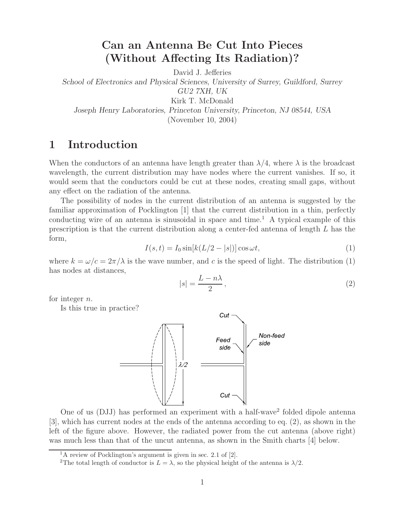## **Can an Antenna Be Cut Into Pieces (Without Affecting Its Radiation)?**

David J. Jefferies

*School of Electronics and Physical Sciences, University of Surrey, Guildford, Surrey GU2 7XH, UK* Kirk T. McDonald

*Joseph Henry Laboratories, Princeton University, Princeton, NJ 08544, USA* (November 10, 2004)

### **1 Introduction**

When the conductors of an antenna have length greater than  $\lambda/4$ , where  $\lambda$  is the broadcast wavelength, the current distribution may have nodes where the current vanishes. If so, it would seem that the conductors could be cut at these nodes, creating small gaps, without any effect on the radiation of the antenna.

The possibility of nodes in the current distribution of an antenna is suggested by the familiar approximation of Pocklington [1] that the current distribution in a thin, perfectly conducting wire of an antenna is sinusoidal in space and time.<sup>1</sup> A typical example of this prescription is that the current distribution along a center-fed antenna of length L has the form,

$$
I(s,t) = I_0 \sin[k(L/2 - |s|)] \cos \omega t, \qquad (1)
$$

where  $k = \omega/c = 2\pi/\lambda$  is the wave number, and c is the speed of light. The distribution (1) has nodes at distances,

$$
|s| = \frac{L - n\lambda}{2},\tag{2}
$$

for integer n.

Is this true in practice?



One of us (DJJ) has performed an experiment with a half-wave<sup>2</sup> folded dipole antenna [3], which has current nodes at the ends of the antenna according to eq. (2), as shown in the left of the figure above. However, the radiated power from the cut antenna (above right) was much less than that of the uncut antenna, as shown in the Smith charts [4] below.

<sup>1</sup>A review of Pocklington's argument is given in sec. 2.1 of [2].

<sup>&</sup>lt;sup>2</sup>The total length of conductor is  $L = \lambda$ , so the physical height of the antenna is  $\lambda/2$ .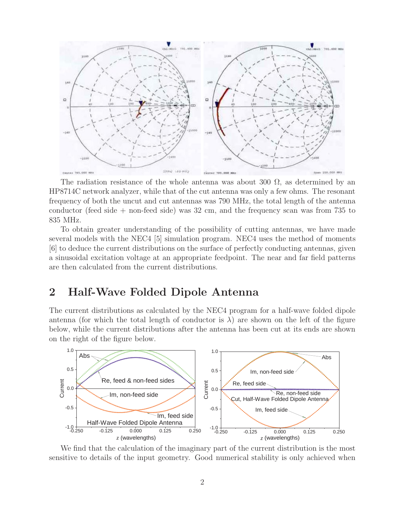

The radiation resistance of the whole antenna was about 300  $\Omega$ , as determined by an HP8714C network analyzer, while that of the cut antenna was only a few ohms. The resonant frequency of both the uncut and cut antennas was 790 MHz, the total length of the antenna conductor (feed side + non-feed side) was 32 cm, and the frequency scan was from 735 to 835 MHz.

To obtain greater understanding of the possibility of cutting antennas, we have made several models with the NEC4 [5] simulation program. NEC4 uses the method of moments [6] to deduce the current distributions on the surface of perfectly conducting antennas, given a sinusoidal excitation voltage at an appropriate feedpoint. The near and far field patterns are then calculated from the current distributions.

### **2 Half-Wave Folded Dipole Antenna**

The current distributions as calculated by the NEC4 program for a half-wave folded dipole antenna (for which the total length of conductor is  $\lambda$ ) are shown on the left of the figure below, while the current distributions after the antenna has been cut at its ends are shown on the right of the figure below.



We find that the calculation of the imaginary part of the current distribution is the most sensitive to details of the input geometry. Good numerical stability is only achieved when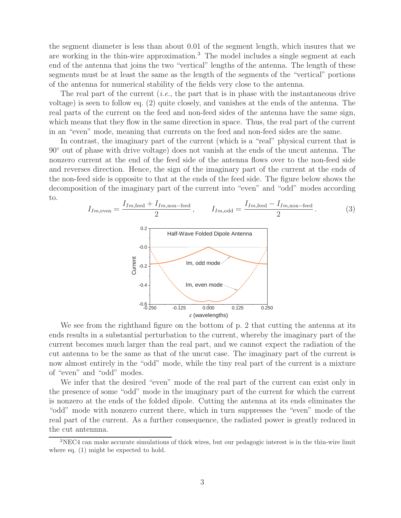the segment diameter is less than about 0.01 of the segment length, which insures that we are working in the thin-wire approximation.<sup>3</sup> The model includes a single segment at each end of the antenna that joins the two "vertical" lengths of the antenna. The length of these segments must be at least the same as the length of the segments of the "vertical" portions of the antenna for numerical stability of the fields very close to the antenna.

The real part of the current (*i.e.*, the part that is in phase with the instantaneous drive voltage) is seen to follow eq. (2) quite closely, and vanishes at the ends of the antenna. The real parts of the current on the feed and non-feed sides of the antenna have the same sign, which means that they flow in the same direction in space. Thus, the real part of the current in an "even" mode, meaning that currents on the feed and non-feed sides are the same.

In contrast, the imaginary part of the current (which is a "real" physical current that is 90◦ out of phase with drive voltage) does not vanish at the ends of the uncut antenna. The nonzero current at the end of the feed side of the antenna flows over to the non-feed side and reverses direction. Hence, the sign of the imaginary part of the current at the ends of the non-feed side is opposite to that at the ends of the feed side. The figure below shows the decomposition of the imaginary part of the current into "even" and "odd" modes according to.



We see from the righthand figure on the bottom of p. 2 that cutting the antenna at its ends results in a substantial perturbation to the current, whereby the imaginary part of the current becomes much larger than the real part, and we cannot expect the radiation of the cut antenna to be the same as that of the uncut case. The imaginary part of the current is now almost entirely in the "odd" mode, while the tiny real part of the current is a mixture of "even" and "odd" modes.

We infer that the desired "even" mode of the real part of the current can exist only in the presence of some "odd" mode in the imaginary part of the current for which the current is nonzero at the ends of the folded dipole. Cutting the antenna at its ends eliminates the "odd" mode with nonzero current there, which in turn suppresses the "even" mode of the real part of the current. As a further consequence, the radiated power is greatly reduced in the cut antennna.

<sup>3</sup>NEC4 can make accurate simulations of thick wires, but our pedagogic interest is in the thin-wire limit where eq. (1) might be expected to hold.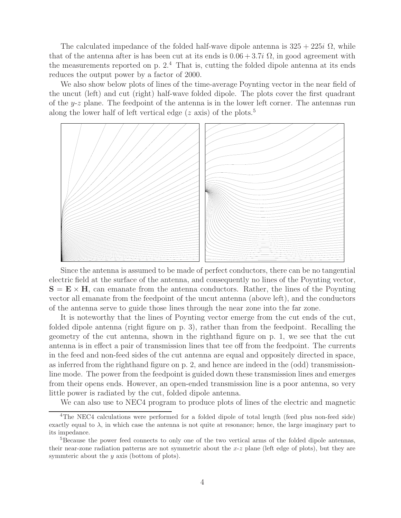The calculated impedance of the folded half-wave dipole antenna is  $325 + 225i \Omega$ , while that of the antenna after is has been cut at its ends is  $0.06 + 3.7i \Omega$ , in good agreement with the measurements reported on p.  $2<sup>4</sup>$ . That is, cutting the folded dipole antenna at its ends reduces the output power by a factor of 2000.

We also show below plots of lines of the time-average Poynting vector in the near field of the uncut (left) and cut (right) half-wave folded dipole. The plots cover the first quadrant of the  $y-z$  plane. The feedpoint of the antenna is in the lower left corner. The antennas run along the lower half of left vertical edge  $(z \text{ axis})$  of the plots.<sup>5</sup>



Since the antenna is assumed to be made of perfect conductors, there can be no tangential electric field at the surface of the antenna, and consequently no lines of the Poynting vector,  $S = E \times H$ , can emanate from the antenna conductors. Rather, the lines of the Poynting vector all emanate from the feedpoint of the uncut antenna (above left), and the conductors of the antenna serve to guide those lines through the near zone into the far zone.

It is noteworthy that the lines of Poynting vector emerge from the cut ends of the cut, folded dipole antenna (right figure on p. 3), rather than from the feedpoint. Recalling the geometry of the cut antenna, shown in the righthand figure on p. 1, we see that the cut antenna is in effect a pair of transmission lines that tee off from the feedpoint. The currents in the feed and non-feed sides of the cut antenna are equal and oppositely directed in space, as inferred from the righthand figure on p. 2, and hence are indeed in the (odd) transmissionline mode. The power from the feedpoint is guided down these transmission lines and emerges from their opens ends. However, an open-ended transmission line is a poor antenna, so very little power is radiated by the cut, folded dipole antenna.

We can also use to NEC4 program to produce plots of lines of the electric and magnetic

<sup>&</sup>lt;sup>4</sup>The NEC4 calculations were performed for a folded dipole of total length (feed plus non-feed side) exactly equal to  $\lambda$ , in which case the antenna is not quite at resonance; hence, the large imaginary part to its impedance.

<sup>&</sup>lt;sup>5</sup>Because the power feed connects to only one of the two vertical arms of the folded dipole antennas, their near-zone radiation patterns are not symmetric about the  $x-z$  plane (left edge of plots), but they are symmteric about the y axis (bottom of plots).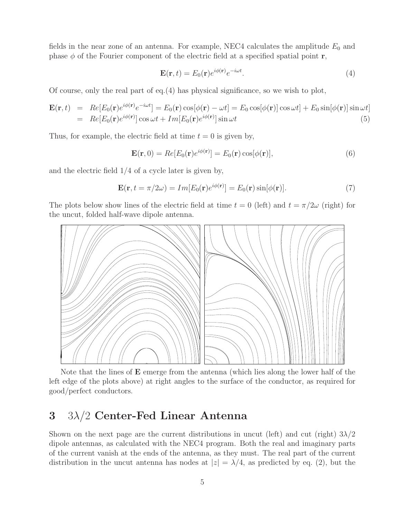fields in the near zone of an antenna. For example, NEC4 calculates the amplitude  $E_0$  and phase  $\phi$  of the Fourier component of the electric field at a specified spatial point **r**,

$$
\mathbf{E}(\mathbf{r},t) = E_0(\mathbf{r})e^{i\phi(\mathbf{r})}e^{-i\omega t}.\tag{4}
$$

Of course, only the real part of eq.(4) has physical significance, so we wish to plot,

$$
\mathbf{E}(\mathbf{r},t) = Re[E_0(\mathbf{r})e^{i\phi(\mathbf{r})}e^{-i\omega t}] = E_0(\mathbf{r})\cos[\phi(\mathbf{r}) - \omega t] = E_0\cos[\phi(\mathbf{r})]\cos\omega t] + E_0\sin[\phi(\mathbf{r})]\sin\omega t
$$
  
=  $Re[E_0(\mathbf{r})e^{i\phi(\mathbf{r})}]\cos\omega t + Im[E_0(\mathbf{r})e^{i\phi(\mathbf{r})}]\sin\omega t$  (5)

Thus, for example, the electric field at time  $t = 0$  is given by,

$$
\mathbf{E}(\mathbf{r},0) = Re[E_0(\mathbf{r})e^{i\phi(\mathbf{r})}] = E_0(\mathbf{r})\cos[\phi(\mathbf{r})],\tag{6}
$$

and the electric field 1/4 of a cycle later is given by,

$$
\mathbf{E}(\mathbf{r}, t = \pi/2\omega) = Im[E_0(\mathbf{r})e^{i\phi(\mathbf{r})}] = E_0(\mathbf{r})\sin[\phi(\mathbf{r})]. \tag{7}
$$

The plots below show lines of the electric field at time  $t = 0$  (left) and  $t = \pi/2\omega$  (right) for the uncut, folded half-wave dipole antenna.



Note that the lines of **E** emerge from the antenna (which lies along the lower half of the left edge of the plots above) at right angles to the surface of the conductor, as required for good/perfect conductors.

### **3** 3λ/2 **Center-Fed Linear Antenna**

Shown on the next page are the current distributions in uncut (left) and cut (right)  $3\lambda/2$ dipole antennas, as calculated with the NEC4 program. Both the real and imaginary parts of the current vanish at the ends of the antenna, as they must. The real part of the current distribution in the uncut antenna has nodes at  $|z| = \lambda/4$ , as predicted by eq. (2), but the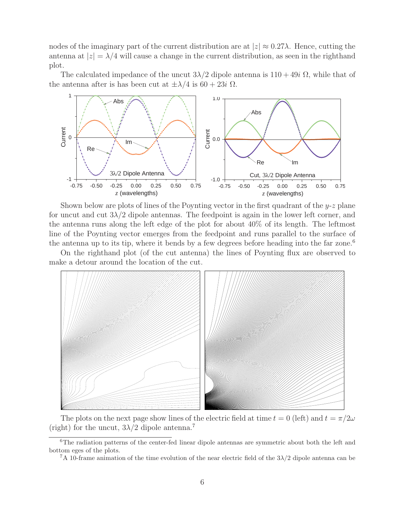nodes of the imaginary part of the current distribution are at  $|z| \approx 0.27\lambda$ . Hence, cutting the antenna at  $|z| = \lambda/4$  will cause a change in the current distribution, as seen in the righthand plot.

The calculated impedance of the uncut  $3\lambda/2$  dipole antenna is  $110 + 49i \Omega$ , while that of the antenna after is has been cut at  $\pm \lambda/4$  is 60 + 23*i*  $\Omega$ .



Shown below are plots of lines of the Poynting vector in the first quadrant of the  $y-z$  plane for uncut and cut  $3\lambda/2$  dipole antennas. The feedpoint is again in the lower left corner, and the antenna runs along the left edge of the plot for about 40% of its length. The leftmost line of the Poynting vector emerges from the feedpoint and runs parallel to the surface of the antenna up to its tip, where it bends by a few degrees before heading into the far zone.<sup>6</sup>

On the righthand plot (of the cut antenna) the lines of Poynting flux are observed to make a detour around the location of the cut.



The plots on the next page show lines of the electric field at time  $t = 0$  (left) and  $t = \pi/2\omega$ (right) for the uncut,  $3\lambda/2$  dipole antenna.<sup>7</sup>

<sup>&</sup>lt;sup>6</sup>The radiation patterns of the center-fed linear dipole antennas are symmetric about both the left and bottom eges of the plots.

<sup>&</sup>lt;sup>7</sup>A 10-frame animation of the time evolution of the near electric field of the  $3\lambda/2$  dipole antenna can be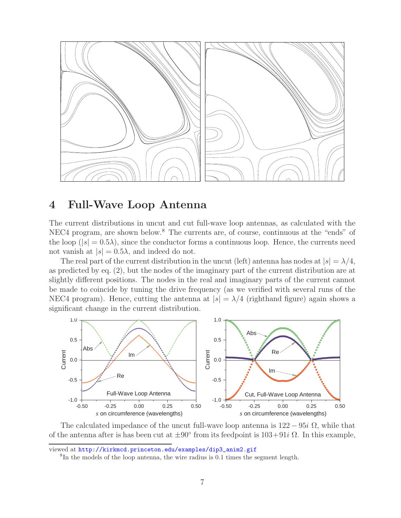

#### **4 Full-Wave Loop Antenna**

The current distributions in uncut and cut full-wave loop antennas, as calculated with the NEC4 program, are shown below.<sup>8</sup> The currents are, of course, continuous at the "ends" of the loop  $(|s| = 0.5\lambda)$ , since the conductor forms a continuous loop. Hence, the currents need not vanish at  $|s| = 0.5\lambda$ , and indeed do not.

The real part of the current distribution in the uncut (left) antenna has nodes at  $|s| = \lambda/4$ , as predicted by eq. (2), but the nodes of the imaginary part of the current distribution are at slightly different positions. The nodes in the real and imaginary parts of the current cannot be made to coincide by tuning the drive frequency (as we verified with several runs of the NEC4 program). Hence, cutting the antenna at  $|s| = \lambda/4$  (righthand figure) again shows a significant change in the current distribution.



The calculated impedance of the uncut full-wave loop antenna is  $122 - 95i \Omega$ , while that of the antenna after is has been cut at  $\pm 90^\circ$  from its feedpoint is  $103+91i \Omega$ . In this example,

viewed at http://kirkmcd.princeton.edu/examples/dip3\_anim2.gif

<sup>8</sup>In the models of the loop antenna, the wire radius is 0.1 times the segment length.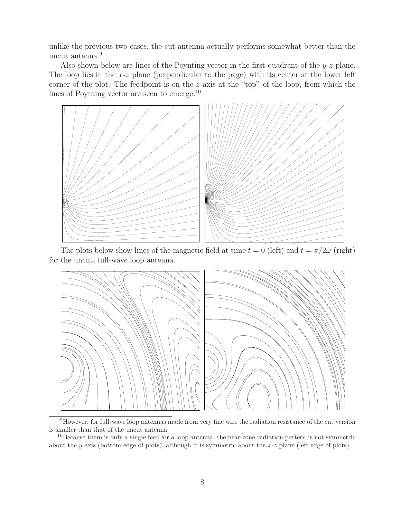unlike the previous two cases, the cut antenna actually performs somewhat better than the uncut antenna.<sup>9</sup>

Also shown below are lines of the Poynting vector in the first quadrant of the  $y-z$  plane. The loop lies in the x-z plane (perpendicular to the page) with its center at the lower left corner of the plot. The feedpoint is on the z axis at the "top" of the loop, from which the lines of Poynting vector are seen to emerge.<sup>10</sup>



The plots below show lines of the magnetic field at time  $t = 0$  (left) and  $t = \pi/2\omega$  (right) for the uncut, full-wave loop antenna.



<sup>9</sup>However, for full-wave loop antennas made from very fine wire the radiation resistance of the cut version is smaller than that of the uncut antenna.

 $10B$ ecause there is only a single feed for a loop antenna, the near-zone radiation pattern is not symmetric about the y axis (bottom edge of plots), although it is symmetric about the  $x-z$  plane (left edge of plots).